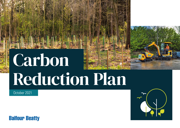# Carbon Reduction Plan

October 2021



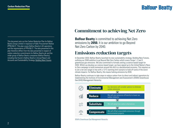This document sets out the Carbon Reduction Plan for Balfour Beatty Group Limited in response to Public Procurement Notice (PPN) 06/21. This plan covers Balfour Beatty's UK operations and the requirements of PPN 06/21. The data presented in this plan therefore differs from the data presented in respect of carbon reduction commitments for Balfour Beatty plc and the wider group of Balfour Beatty companies (Balfour Beatty), including that found in Balfour Beatty's Annual Report and Accounts and Sustainability Strategy, [Building New Futures.](https://www.balfourbeatty.com/media/318683/balfour-beatty-building-new-futures-sustainability-strategy.pdf)

## Commitment to achieving Net Zero

**Balfour Beatty** is committed to achieving Net Zero emissions by **2050.** It is our ambition to go Beyond Net Zero Carbon by 2040.

## Emissions reduction targets

In December 2020, Balfour Beatty launched its new sustainability strategy, Building New Futures, outlining our 2040 ambition to go Beyond Net Zero Carbon which covers Scope 1, 2 and 3 greenhouse gas emissions. We also committed to formally setting a science-based target for 2030. Whilst we develop our science-based target, we have signed up to the United Nation's Race to Zero campaign to build momentum around the shift to a decarbonised economy. This requires us to set a net zero target in line with a 1.5°C warming limit scenario to hold off some of the worst climate impacts. For Balfour Beatty, this means halving emissions by 2030.

Balfour Beatty continues to take steps to reduce carbon from its direct and indirect operations by implementing the Institute of Environmental Management and Assessment's (IEMA) Greenhouse Gas (GHG) Management Hierarchy.



IEMA's Greenhouse Gas Management Hierarchy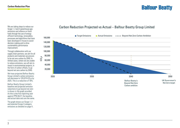We are taking steps to reduce our Scope 1, 2 and 3 greenhouse gas emissions and reliance on fossil fuels through the use of energy efficient technology, renewables, processes and algorithms that have been developed in-house to assist decision making and to drive sustainability performance improvement.

Through collaboration with our supply chain partners, we aim for all products and materials we procure to be net zero carbon by 2040. In limited cases, where we are unable to reduce emissions, we will aim to invest in environmental projects, in the form of carbon offsets, to go beyond net zero carbon by 2040.

We have projected Balfour Beatty Group Limited's carbon emissions will decrease to 120,679 tCO<sub>2</sub>e by 2025. This is a reduction of 18%.

Balfour Beatty Group Limited's baseline and projected emission reductions to go beyond net zero is shown in the graph provided. As this is the first reporting year against PPN 06/21 the baseline and actual data sets are the same.

The graph shows our Scope 1, 2 and selected Scope 3 category emissions as detailed on page 4.

## Carbon Reduction Projected vs Actual – Balfour Beatty Group Limited

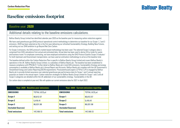## Baseline emissions footprint

#### Baseline year: **2020**

#### Additional details relating to the baseline emissions calculations.

Balfour Beatty Group Limited has identified calendar year 2020 as the baseline year for measuring carbon reductions against.

We have used greenhouse gas (GHG) protocol operational control methodology to determine our baseline for our Scope 1, 2 and 3 emissions. 2020 has been selected as this is the first year delivering our refreshed Sustainability Strategy, Building New Futures, and setting out our 2040 ambition to go Beyond Net Zero Carbon.

For Scope 2 emissions, the GHG protocol's market-based methodology has been used. The selected Scope 3 category data is comprised from GHG calculations from actual and estimated data. Actual data has been used to derive tCO<sub>2</sub>e totals for waste and business travel. For employee commuting, we have employed estimations using the GHG Protocol Quantis Scope 3 Evaluator.<sup>1</sup> For both Upstream and Downstream transportation, we have used an estimation methodology to arrive at the baseline total.

The baseline defined within this Carbon Reduction Plan is specific to Balfour Beatty Group Limited and covers Balfour Beatty's operations in the UK. Balfour Beatty Group Limited, is a subsidiary of Balfour Beatty plc. The baseline has been established to measure compliance with PPN 06/21. Further detail on Balfour Beaty plc's total GHG emissions, Sustainability Strategy and energy consumption is available in Balfour Beatty plc's Annual Report and Accounts. Balfour Beatty plc complies with the UK Government's Streamlined Energy and Carbon Reporting (SECR) requirements. PricewaterhouseCoopers LLP (PwC LLP) is engaged by Balfour Beatty plc to provide limited assurance over selected greenhouse gas performance data for Scope 1 and 2 annual reporting purposes as stated in the annual report. Carbon reduction strategies for Balfour Beatty Group Limited for Scope 1 and 2 and all Scope 3 categories are detailed within the UK addendum of our sustainability strategy, '[Sustainability in the UK'](https://www.balfourbeatty.com/sustainability/sustainability-in-the-uk/).

Our carbon data is compiled at year end. We will update our current emissions data for 2021 in April 2022.

| Year: 2020 - Baseline year emissions: |                 | <b>Year: 2020 - Current emissions reporting</b> |                 |
|---------------------------------------|-----------------|-------------------------------------------------|-----------------|
| <b>EMISSIONS</b>                      | TOTAL $(tCO2e)$ | <b>EMISSIONS</b>                                | TOTAL $(tCO2e)$ |
| <b>Scope 1</b>                        | 80,612.57       | Scope 1                                         | 80,612.57       |
| Scope 2                               | 5,419.41        | Scope 2                                         | 5,419.41        |
| Scope 3                               | 86,031.98       | Scope 3                                         | 86,031.98       |
| (Included Sources)                    |                 | (Included Sources)                              |                 |
| <b>Total emissions</b>                | 147,169.13      | <b>Total emissions</b>                          | 147,169.13      |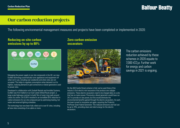## Our carbon reduction projects

The following environmental management measures and projects have been completed or implemented in 2020:

## **Reducing on-site carbon emissions by up to 80%**



Managing the power supply to our site compounds in the UK, our new EcoNet technology automatically turns appliances and equipment off when not in use, including over weekends and when sites are not occupied. This helps to regulate consumption when demand is at its highest, reducing demand on grid connections or diesel generators used to power sites.

Developed in collaboration with Sunbelt Rentals and Invisible Systems, EcoNet was first trialled on our East Leeds Orbital Route project, a large-scale highways contract to build 7km of outer ring roads around Leeds city centre. On ELOR it resulted in an incredible 83% reduction in carbon emissions for our site compound just by optimising heating, hot water and external lighting schedules.

The technology has now been fully rolled out to over 61 sites, including all new sites consisting of six cabins or more.

### **Zero carbon emission excavators**



On the A63 Castle Street scheme in Hull, we've used three of the industry's first electric mini excavators that produce zero tailpipe emissions. These electric excavators need to be charged daily on a site that has no mains power. Previously a diesel generator would have run 24/7 to provide on-site power, but this would eliminate the environmental benefits gained through the electric excavators. As such, the team turned to innovation yet again, acquiring the Prolectric ProPower Solar Hybrid Generator. This reduced emissions and fuel use by up to 78%, providing clean and silent energy for the electric excavators.

The carbon emissions reduction achieved by these schemes in 2020 equate to 7,000 tCO<sub>2</sub>e. Further work for energy and carbon savings in 2021 is ongoing.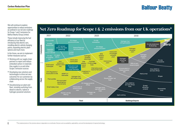We will continue to explore opportunities to reduce emissions as outlined in our net zero roadmap for Scope 1 and 2 emissions for Balfour Beatty Group Limited.

These include improving the fuel efficiency of our fleet by introducing fully electric cars, installing electric vehicle charging points, expanding electric plant options and much more.

In the future, we aim to implement further measures such as:

- Working with our supply chain partners to report and reduce embodied carbon in materials they supply to us and other Scope 3 emission sources
- Developing new solutions and technologies to drive net zero outcomes for our customers by collaborating across the supply chain
- Decarbonising our plant and fleet, including switching from diesel to electric, hybrid or hydrogen powered solutions

6

## Net Zero Roadmap for Scope 1 & 2 emissions from our UK operations\*

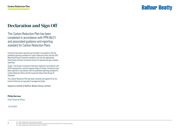## Declaration and Sign Off

This Carbon Reduction Plan has been completed in accordance with PPN 06/21 and associated guidance and reporting standard for Carbon Reduction Plans.

Emissions have been reported and recorded in accordance with the published reporting standard for Carbon Reduction Plans and the GHG Reporting Protocol corporate standard<sup>1</sup> and uses the appropriate Government emission conversion factors for greenhouse gas company reporting.2

Scope 1 and Scope 2 emissions have been reported in accordance with SECR requirements, and the required subset of Scope 3 emissions have been reported in accordance with the published reporting standard for Carbon Reduction Plans and the Corporate Value Chain (Scope 3) Standard<sup>3</sup>

This Carbon Reduction Plan has been reviewed and signed off by the board of directors (or equivalent management body).

Signed on behalf of Balfour Beatty Group Limited:

#### **Philip Harrison**

Chief Financial Officer

22/10/2021